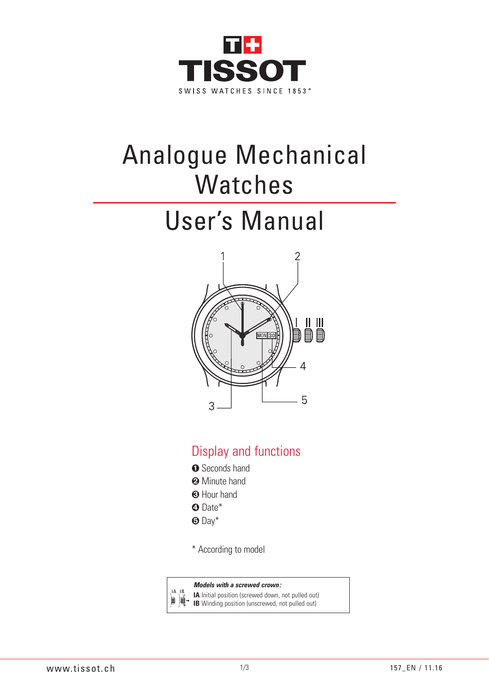

# Analogue Mechanical Watches

## User's Manual



## Display and functions

- **O** Seconds hand
- **<sup>2</sup>** Minute hand
- **8** Hour hand
- **O** Date\*
- $\Theta$  Day\*
- \* According to model

*Models with a screwed crown:* **IA** Initial position (screwed down, not pulled out)

**IB** Winding position (unscrewed, not pulled out)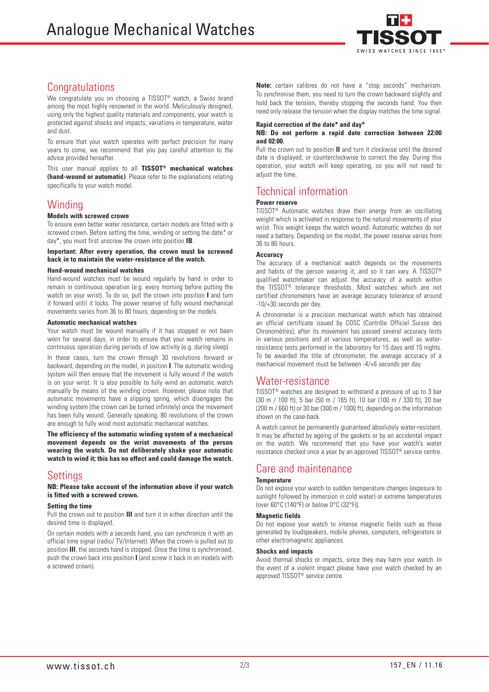

## **Congratulations**

We congratulate you on choosing a TISSOT® watch, a Swiss brand among the most highly renowned in the world. Meticulously designed, using only the highest quality materials and components, your watch is protected against shocks and impacts, variations in temperature, water and dust.

To ensure that your watch operates with perfect precision for many years to come, we recommend that you pay careful attention to the advice provided hereafter.

This user manual applies to all **TISSOT® mechanical watches (hand-wound or automatic)**. Please refer to the explanations relating specifically to your watch model.

## **Winding**

## **Models with screwed crown**

To ensure even better water resistance, certain models are fitted with a screwed crown. Before setting the time, winding or setting the date\* or day\*, you must first unscrew the crown into position **IB**.

#### **Important: After every operation, the crown must be screwed back in to maintain the water-resistance of the watch.**

#### **Hand-wound mechanical watches**

Hand-wound watches must be wound regularly by hand in order to remain in continuous operation (e.g. every morning before putting the watch on your wrist). To do so, pull the crown into position **I** and turn it forward until it locks. The power reserve of fully wound mechanical movements varies from 36 to 80 hours, depending on the models.

#### **Automatic mechanical watches**

Your watch must be wound manually if it has stopped or not been worn for several days, in order to ensure that your watch remains in continuous operation during periods of low activity (e.g. during sleep).

In these cases, turn the crown through 30 revolutions forward or backward, depending on the model, in position **I**. The automatic winding system will then ensure that the movement is fully wound if the watch is on your wrist. It is also possible to fully wind an automatic watch manually by means of the winding crown. However, please note that automatic movements have a slipping spring, which disengages the winding system (the crown can be turned infinitely) once the movement has been fully wound. Generally speaking, 80 revolutions of the crown are enough to fully wind most automatic mechanical watches.

**The efficiency of the automatic winding system of a mechanical movement depends on the wrist movements of the person wearing the watch. Do not deliberately shake your automatic watch to wind it; this has no effect and could damage the watch.** 

## **Settings**

**NB: Please take account of the information above if your watch is fitted with a screwed crown.**

### **Setting the time**

Pull the crown out to position **III** and turn it in either direction until the desired time is displayed.

On certain models with a seconds hand, you can synchronize it with an official time signal (radio/ TV/Internet). When the crown is pulled out to position **III**, the seconds hand is stopped. Once the time is synchronised, push the crown back into position **I** (and screw it back in on models with a screwed crown).

**Note:** certain calibres do not have a "stop seconds" mechanism. To synchronise them, you need to turn the crown backward slightly and hold back the tension, thereby stopping the seconds hand. You then need only release the tension when the display matches the time signal.

#### **Rapid correction of the date\* and day\***

#### **NB: Do not perform a rapid date correction between 22:00 and 02:00.**

Pull the crown out to position **II** and turn it clockwise until the desired date is displayed, or counterclockwise to correct the day. During this operation, your watch will keep operating, so you will not need to adjust the time.

## Technical information

## **Power reserve**

TISSOT® Automatic watches draw their energy from an oscillating weight which is activated in response to the natural movements of your wrist. This weight keeps the watch wound. Automatic watches do not need a battery. Depending on the model, the power reserve varies from 36 to 80 hours.

### **Accuracy**

The accuracy of a mechanical watch depends on the movements and habits of the person wearing it, and so it can vary. A TISSOT® qualified watchmaker can adjust the accuracy of a watch within the TISSOT® tolerance thresholds. Most watches which are not certified chronometers have an average accuracy tolerance of around -10/+30 seconds per day.

A chronometer is a precision mechanical watch which has obtained an official certificate issued by COSC (Contrôle Officiel Suisse des Chronomètres), after its movement has passed several accuracy tests in various positions and at various temperatures, as well as waterresistance tests performed in the laboratory for 15 days and 15 nights. To be awarded the title of chronometer, the average accuracy of a mechanical movement must be between -4/+6 seconds per day.

## Water-resistance

TISSOT® watches are designed to withstand a pressure of up to 3 bar (30 m / 100 ft), 5 bar (50 m / 165 ft), 10 bar (100 m / 330 ft), 20 bar (200 m / 660 ft) or 30 bar (300 m / 1000 ft), depending on the information shown on the case-back.

A watch cannot be permanently guaranteed absolutely water-resistant. It may be affected by ageing of the gaskets or by an accidental impact on the watch. We recommend that you have your watch's water resistance checked once a year by an approved TISSOT® service centre.

## Care and maintenance

### **Temperature**

Do not expose your watch to sudden temperature changes (exposure to sunlight followed by immersion in cold water) or extreme temperatures (over 60°C (140°F) or below 0°C (32°F)).

### **Magnetic fields**

Do not expose your watch to intense magnetic fields such as those generated by loudspeakers, mobile phones, computers, refrigerators or other electromagnetic appliances.

## **Shocks and impacts**

Avoid thermal shocks or impacts, since they may harm your watch. In the event of a violent impact please have your watch checked by an approved TISSOT® service centre.